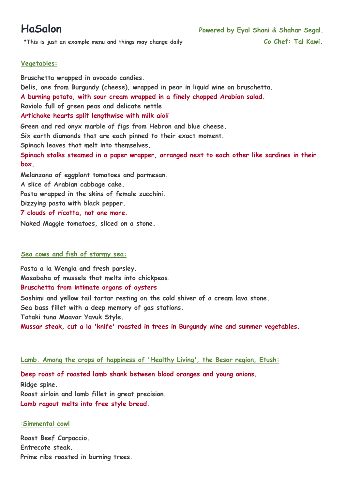\*This is just an example menu and things may change daily **Co Chef: Tal Kawi.** 

## **Vegetables:**

**Bruschetta wrapped in avocado candies. Delis, one from Burgundy (cheese), wrapped in pear in liquid wine on bruschetta. A burning potato, with sour cream wrapped in a finely chopped Arabian salad. Raviolo full of green peas and delicate nettle Artichoke hearts split lengthwise with milk aioli Green and red onyx marble of figs from Hebron and blue cheese. Six earth diamonds that are each pinned to their exact moment. Spinach leaves that melt into themselves. Spinach stalks steamed in a paper wrapper, arranged next to each other like sardines in their box. Melanzana of eggplant tomatoes and parmesan. A slice of Arabian cabbage cake. Pasta wrapped in the skins of female zucchini. Dizzying pasta with black pepper. 7 clouds of ricotta, not one more.** 

**Naked Maggie tomatoes, sliced on a stone.** 

## **Sea cows and fish of stormy sea:**

**Pasta a la Wengla and fresh parsley. Masabaha of mussels that melts into chickpeas.** 

# **Bruschetta from intimate organs of oysters**

**Sashimi and yellow tail tartar resting on the cold shiver of a cream lava stone. Sea bass fillet with a deep memory of gas stations. Tataki tuna Maavar Yavuk Style. Mussar steak, cut a la 'knife' roasted in trees in Burgundy wine and summer vegetables.** 

## **Lamb. Among the crops of happiness of 'Healthy Living', the Besor region, Etush:**

**Deep roast of roasted lamb shank between blood oranges and young onions. Ridge spine. Roast sirloin and lamb fillet in great precision. Lamb ragout melts into free style bread.** 

## :**Simmental cowl**

**Roast Beef Carpaccio. Entrecote steak. Prime ribs roasted in burning trees.**